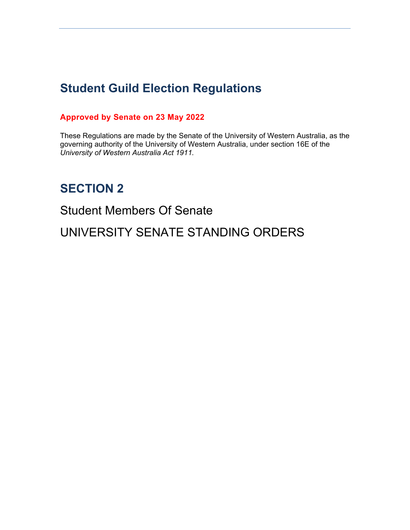# **Student Guild Election Regulations**

### **Approved by Senate on 23 May 2022**

These Regulations are made by the Senate of the University of Western Australia, as the governing authority of the University of Western Australia, under section 16E of the *University of Western Australia Act 1911.* 

## **SECTION 2**

Student Members Of Senate

UNIVERSITY SENATE STANDING ORDERS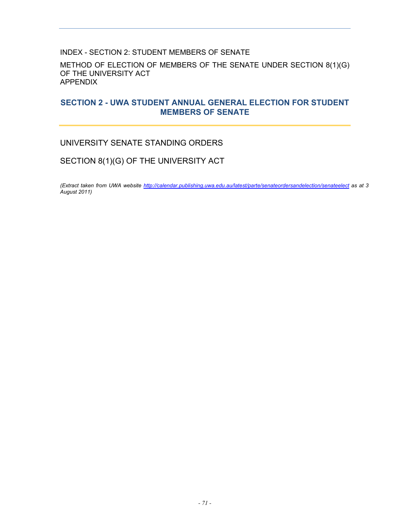#### INDEX - SECTION 2: STUDENT MEMBERS OF SENATE

METHOD OF ELECTION OF MEMBERS OF THE SENATE UNDER SECTION 8(1)(G) OF THE UNIVERSITY ACT APPENDIX

#### **SECTION 2 - UWA STUDENT ANNUAL GENERAL ELECTION FOR STUDENT MEMBERS OF SENATE**

#### UNIVERSITY SENATE STANDING ORDERS

### SECTION 8(1)(G) OF THE UNIVERSITY ACT

*(Extract taken from UWA website http://calendar.publishing.uwa.edu.au/latest/parte/senateordersandelection/senateelect as at 3 August 2011)*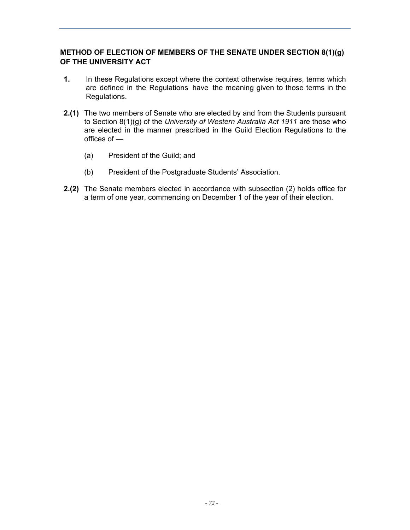#### **METHOD OF ELECTION OF MEMBERS OF THE SENATE UNDER SECTION 8(1)(g) OF THE UNIVERSITY ACT**

- **1.** In these Regulations except where the context otherwise requires, terms which are defined in the Regulations have the meaning given to those terms in the Regulations.
- **2.(1)** The two members of Senate who are elected by and from the Students pursuant to Section 8(1)(g) of the *University of Western Australia Act 1911* are those who are elected in the manner prescribed in the Guild Election Regulations to the offices of —
	- (a) President of the Guild; and
	- (b) President of the Postgraduate Students' Association.
- **2.(2)** The Senate members elected in accordance with subsection (2) holds office for a term of one year, commencing on December 1 of the year of their election.